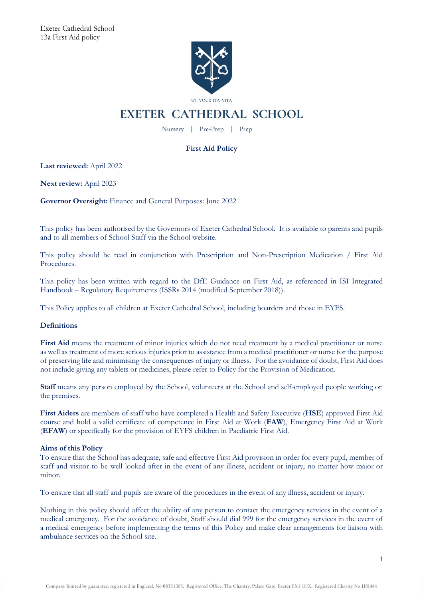

UT VOCE ITA VITA

# **EXETER CATHEDRAL SCHOOL**

Nursery | Pre-Prep | Prep

# **First Aid Policy**

**Last reviewed:** April 2022

**Next review:** April 2023

**Governor Oversight:** Finance and General Purposes: June 2022

This policy has been authorised by the Governors of Exeter Cathedral School. It is available to parents and pupils and to all members of School Staff via the School website.

This policy should be read in conjunction with Prescription and Non-Prescription Medication / First Aid Procedures.

This policy has been written with regard to the DfE Guidance on First Aid, as referenced in ISI Integrated Handbook – Regulatory Requirements (ISSRs 2014 (modified September 2018)).

This Policy applies to all children at Exeter Cathedral School, including boarders and those in EYFS.

# **Definitions**

**First Aid** means the treatment of minor injuries which do not need treatment by a medical practitioner or nurse as well as treatment of more serious injuries prior to assistance from a medical practitioner or nurse for the purpose of preserving life and minimising the consequences of injury or illness. For the avoidance of doubt, First Aid does not include giving any tablets or medicines, please refer to Policy for the Provision of Medication.

**Staff** means any person employed by the School, volunteers at the School and self-employed people working on the premises.

**First Aiders** are members of staff who have completed a Health and Safety Executive (**HSE**) approved First Aid course and hold a valid certificate of competence in First Aid at Work (**FAW**), Emergency First Aid at Work (**EFAW**) or specifically for the provision of EYFS children in Paediatric First Aid.

# **Aims of this Policy**

To ensure that the School has adequate, safe and effective First Aid provision in order for every pupil, member of staff and visitor to be well looked after in the event of any illness, accident or injury, no matter how major or minor.

To ensure that all staff and pupils are aware of the procedures in the event of any illness, accident or injury.

Nothing in this policy should affect the ability of any person to contact the emergency services in the event of a medical emergency. For the avoidance of doubt, Staff should dial 999 for the emergency services in the event of a medical emergency before implementing the terms of this Policy and make clear arrangements for liaison with ambulance services on the School site.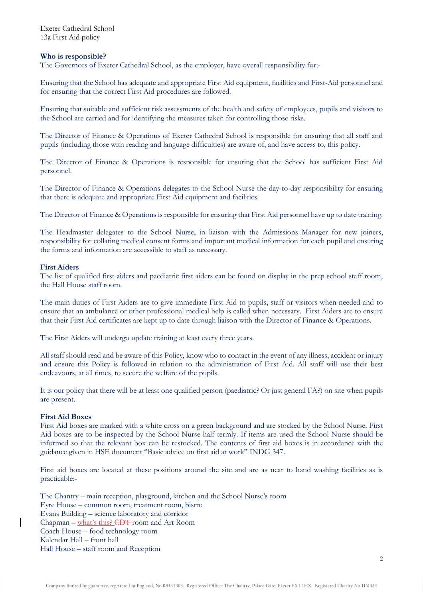Exeter Cathedral School 13a First Aid policy

#### **Who is responsible?**

The Governors of Exeter Cathedral School, as the employer, have overall responsibility for:-

Ensuring that the School has adequate and appropriate First Aid equipment, facilities and First-Aid personnel and for ensuring that the correct First Aid procedures are followed.

Ensuring that suitable and sufficient risk assessments of the health and safety of employees, pupils and visitors to the School are carried and for identifying the measures taken for controlling those risks.

The Director of Finance & Operations of Exeter Cathedral School is responsible for ensuring that all staff and pupils (including those with reading and language difficulties) are aware of, and have access to, this policy.

The Director of Finance & Operations is responsible for ensuring that the School has sufficient First Aid personnel.

The Director of Finance & Operations delegates to the School Nurse the day-to-day responsibility for ensuring that there is adequate and appropriate First Aid equipment and facilities.

The Director of Finance & Operations is responsible for ensuring that First Aid personnel have up to date training.

The Headmaster delegates to the School Nurse, in liaison with the Admissions Manager for new joiners, responsibility for collating medical consent forms and important medical information for each pupil and ensuring the forms and information are accessible to staff as necessary.

#### **First Aiders**

The list of qualified first aiders and paediatric first aiders can be found on display in the prep school staff room, the Hall House staff room.

The main duties of First Aiders are to give immediate First Aid to pupils, staff or visitors when needed and to ensure that an ambulance or other professional medical help is called when necessary. First Aiders are to ensure that their First Aid certificates are kept up to date through liaison with the Director of Finance & Operations.

The First Aiders will undergo update training at least every three years.

All staff should read and be aware of this Policy, know who to contact in the event of any illness, accident or injury and ensure this Policy is followed in relation to the administration of First Aid. All staff will use their best endeavours, at all times, to secure the welfare of the pupils.

It is our policy that there will be at least one qualified person (paediatric? Or just general FA?) on site when pupils are present.

#### **First Aid Boxes**

First Aid boxes are marked with a white cross on a green background and are stocked by the School Nurse. First Aid boxes are to be inspected by the School Nurse half termly. If items are used the School Nurse should be informed so that the relevant box can be restocked. The contents of first aid boxes is in accordance with the guidance given in HSE document ''Basic advice on first aid at work'' INDG 347.

First aid boxes are located at these positions around the site and are as near to hand washing facilities as is practicable:-

The Chantry – main reception, playground, kitchen and the School Nurse's room Eyre House – common room, treatment room, bistro Evans Building – science laboratory and corridor Chapman – what's this? CDT room and Art Room Coach House – food technology room Kalendar Hall – front hall Hall House – staff room and Reception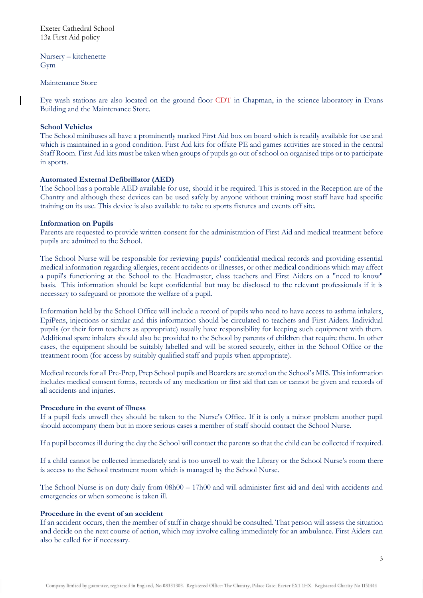Exeter Cathedral School 13a First Aid policy

Nursery – kitchenette Gym

Maintenance Store

Eye wash stations are also located on the ground floor CDT in Chapman, in the science laboratory in Evans Building and the Maintenance Store.

#### **School Vehicles**

The School minibuses all have a prominently marked First Aid box on board which is readily available for use and which is maintained in a good condition. First Aid kits for offsite PE and games activities are stored in the central Staff Room. First Aid kits must be taken when groups of pupils go out of school on organised trips or to participate in sports.

#### **Automated External Defibrillator (AED)**

The School has a portable AED available for use, should it be required. This is stored in the Reception are of the Chantry and although these devices can be used safely by anyone without training most staff have had specific training on its use. This device is also available to take to sports fixtures and events off site.

#### **Information on Pupils**

Parents are requested to provide written consent for the administration of First Aid and medical treatment before pupils are admitted to the School.

The School Nurse will be responsible for reviewing pupils' confidential medical records and providing essential medical information regarding allergies, recent accidents or illnesses, or other medical conditions which may affect a pupil's functioning at the School to the Headmaster, class teachers and First Aiders on a "need to know" basis. This information should be kept confidential but may be disclosed to the relevant professionals if it is necessary to safeguard or promote the welfare of a pupil.

Information held by the School Office will include a record of pupils who need to have access to asthma inhalers, EpiPens, injections or similar and this information should be circulated to teachers and First Aiders. Individual pupils (or their form teachers as appropriate) usually have responsibility for keeping such equipment with them. Additional spare inhalers should also be provided to the School by parents of children that require them. In other cases, the equipment should be suitably labelled and will be stored securely, either in the School Office or the treatment room (for access by suitably qualified staff and pupils when appropriate).

Medical records for all Pre-Prep, Prep School pupils and Boarders are stored on the School's MIS. This information includes medical consent forms, records of any medication or first aid that can or cannot be given and records of all accidents and injuries.

#### **Procedure in the event of illness**

If a pupil feels unwell they should be taken to the Nurse's Office. If it is only a minor problem another pupil should accompany them but in more serious cases a member of staff should contact the School Nurse.

If a pupil becomes ill during the day the School will contact the parents so that the child can be collected if required.

If a child cannot be collected immediately and is too unwell to wait the Library or the School Nurse's room there is access to the School treatment room which is managed by the School Nurse.

The School Nurse is on duty daily from 08h00 – 17h00 and will administer first aid and deal with accidents and emergencies or when someone is taken ill.

#### **Procedure in the event of an accident**

If an accident occurs, then the member of staff in charge should be consulted. That person will assess the situation and decide on the next course of action, which may involve calling immediately for an ambulance. First Aiders can also be called for if necessary.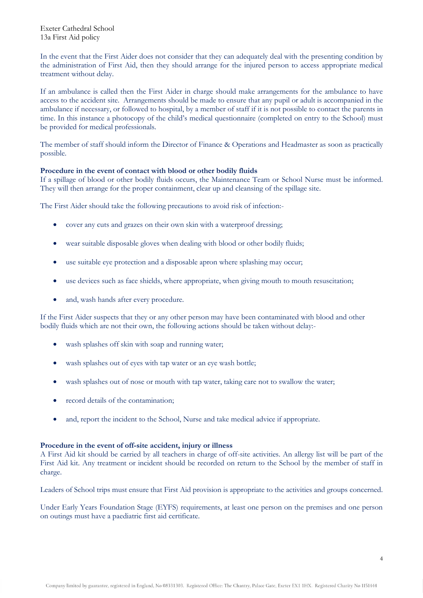Exeter Cathedral School 13a First Aid policy

In the event that the First Aider does not consider that they can adequately deal with the presenting condition by the administration of First Aid, then they should arrange for the injured person to access appropriate medical treatment without delay.

If an ambulance is called then the First Aider in charge should make arrangements for the ambulance to have access to the accident site. Arrangements should be made to ensure that any pupil or adult is accompanied in the ambulance if necessary, or followed to hospital, by a member of staff if it is not possible to contact the parents in time. In this instance a photocopy of the child's medical questionnaire (completed on entry to the School) must be provided for medical professionals.

The member of staff should inform the Director of Finance & Operations and Headmaster as soon as practically possible.

## **Procedure in the event of contact with blood or other bodily fluids**

If a spillage of blood or other bodily fluids occurs, the Maintenance Team or School Nurse must be informed. They will then arrange for the proper containment, clear up and cleansing of the spillage site.

The First Aider should take the following precautions to avoid risk of infection:-

- cover any cuts and grazes on their own skin with a waterproof dressing;
- wear suitable disposable gloves when dealing with blood or other bodily fluids;
- use suitable eye protection and a disposable apron where splashing may occur;
- use devices such as face shields, where appropriate, when giving mouth to mouth resuscitation;
- and, wash hands after every procedure.

If the First Aider suspects that they or any other person may have been contaminated with blood and other bodily fluids which are not their own, the following actions should be taken without delay:-

- wash splashes off skin with soap and running water;
- wash splashes out of eyes with tap water or an eye wash bottle;
- wash splashes out of nose or mouth with tap water, taking care not to swallow the water;
- record details of the contamination;
- and, report the incident to the School, Nurse and take medical advice if appropriate.

#### **Procedure in the event of off-site accident, injury or illness**

A First Aid kit should be carried by all teachers in charge of off-site activities. An allergy list will be part of the First Aid kit. Any treatment or incident should be recorded on return to the School by the member of staff in charge.

Leaders of School trips must ensure that First Aid provision is appropriate to the activities and groups concerned.

Under Early Years Foundation Stage (EYFS) requirements, at least one person on the premises and one person on outings must have a paediatric first aid certificate.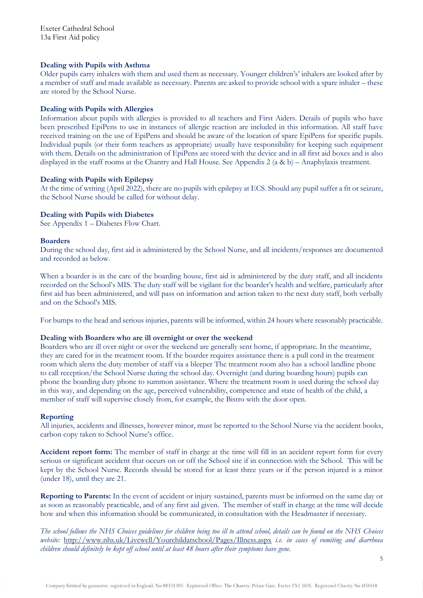## **Dealing with Pupils with Asthma**

Older pupils carry inhalers with them and used them as necessary. Younger children's' inhalers are looked after by a member of staff and made available as necessary. Parents are asked to provide school with a spare inhaler – these are stored by the School Nurse.

## **Dealing with Pupils with Allergies**

Information about pupils with allergies is provided to all teachers and First Aiders. Details of pupils who have been prescribed EpiPens to use in instances of allergic reaction are included in this information. All staff have received training on the use of EpiPens and should be aware of the location of spare EpiPens for specific pupils. Individual pupils (or their form teachers as appropriate) usually have responsibility for keeping such equipment with them. Details on the administration of EpiPens are stored with the device and in all first aid boxes and is also displayed in the staff rooms at the Chantry and Hall House. See Appendix 2 (a & b) – Anaphylaxis treatment.

## **Dealing with Pupils with Epilepsy**

At the time of writing (April 2022), there are no pupils with epilepsy at ECS. Should any pupil suffer a fit or seizure, the School Nurse should be called for without delay.

## **Dealing with Pupils with Diabetes**

See Appendix 1 – Diabetes Flow Chart.

#### **Boarders**

During the school day, first aid is administered by the School Nurse, and all incidents/responses are documented and recorded as below.

When a boarder is in the care of the boarding house, first aid is administered by the duty staff, and all incidents recorded on the School's MIS. The duty staff will be vigilant for the boarder's health and welfare, particularly after first aid has been administered, and will pass on information and action taken to the next duty staff, both verbally and on the School's MIS.

For bumps to the head and serious injuries, parents will be informed, within 24 hours where reasonably practicable.

#### **Dealing with Boarders who are ill overnight or over the weekend**

Boarders who are ill over night or over the weekend are generally sent home, if appropriate. In the meantime, they are cared for in the treatment room. If the boarder requires assistance there is a pull cord in the treatment room which alerts the duty member of staff via a bleeper The treatment room also has a school landline phone to call reception/the School Nurse during the school day. Overnight (and during boarding hours) pupils can phone the boarding duty phone to summon assistance. Where the treatment room is used during the school day in this way, and depending on the age, perceived vulnerability, competence and state of health of the child, a member of staff will supervise closely from, for example, the Bistro with the door open.

#### **Reporting**

All injuries, accidents and illnesses, however minor, must be reported to the School Nurse via the accident books, carbon copy taken to School Nurse's office.

**Accident report form:** The member of staff in charge at the time will fill in an accident report form for every serious or significant accident that occurs on or off the School site if in connection with the School. This will be kept by the School Nurse. Records should be stored for at least three years or if the person injured is a minor (under 18), until they are 21.

**Reporting to Parents:** In the event of accident or injury sustained, parents must be informed on the same day or as soon as reasonably practicable, and of any first aid given. The member of staff in charge at the time will decide how and when this information should be communicated, in consultation with the Headmaster if necessary.

*The school follows the NHS Choices guidelines for children being too ill to attend school, details can be found on the NHS Choices website:* <http://www.nhs.uk/Livewell/Yourchildatschool/Pages/Illness.aspx> *i.e. in cases of vomiting and diarrhoea children should definitely be kept off school until at least 48 hours after their symptoms have gone.*